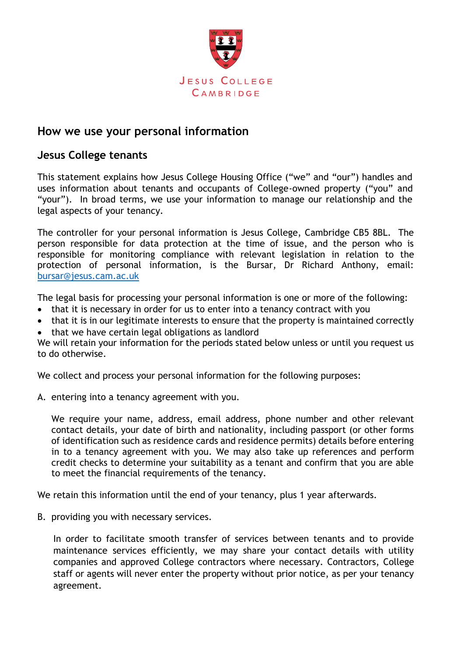

## **How we use your personal information**

## **Jesus College tenants**

This statement explains how Jesus College Housing Office ("we" and "our") handles and uses information about tenants and occupants of College-owned property ("you" and "your"). In broad terms, we use your information to manage our relationship and the legal aspects of your tenancy.

The controller for your personal information is Jesus College, Cambridge CB5 8BL. The person responsible for data protection at the time of issue, and the person who is responsible for monitoring compliance with relevant legislation in relation to the protection of personal information, is the Bursar, Dr Richard Anthony, email: [bursar@jesus.cam.ac.uk](mailto:bursar@jesus.cam.ac.uk)

The legal basis for processing your personal information is one or more of the following:

- that it is necessary in order for us to enter into a tenancy contract with you
- that it is in our legitimate interests to ensure that the property is maintained correctly
- that we have certain legal obligations as landlord

We will retain your information for the periods stated below unless or until you request us to do otherwise.

We collect and process your personal information for the following purposes:

A. entering into a tenancy agreement with you.

We require your name, address, email address, phone number and other relevant contact details, your date of birth and nationality, including passport (or other forms of identification such as residence cards and residence permits) details before entering in to a tenancy agreement with you. We may also take up references and perform credit checks to determine your suitability as a tenant and confirm that you are able to meet the financial requirements of the tenancy.

We retain this information until the end of your tenancy, plus 1 year afterwards.

B. providing you with necessary services.

In order to facilitate smooth transfer of services between tenants and to provide maintenance services efficiently, we may share your contact details with utility companies and approved College contractors where necessary. Contractors, College staff or agents will never enter the property without prior notice, as per your tenancy agreement.